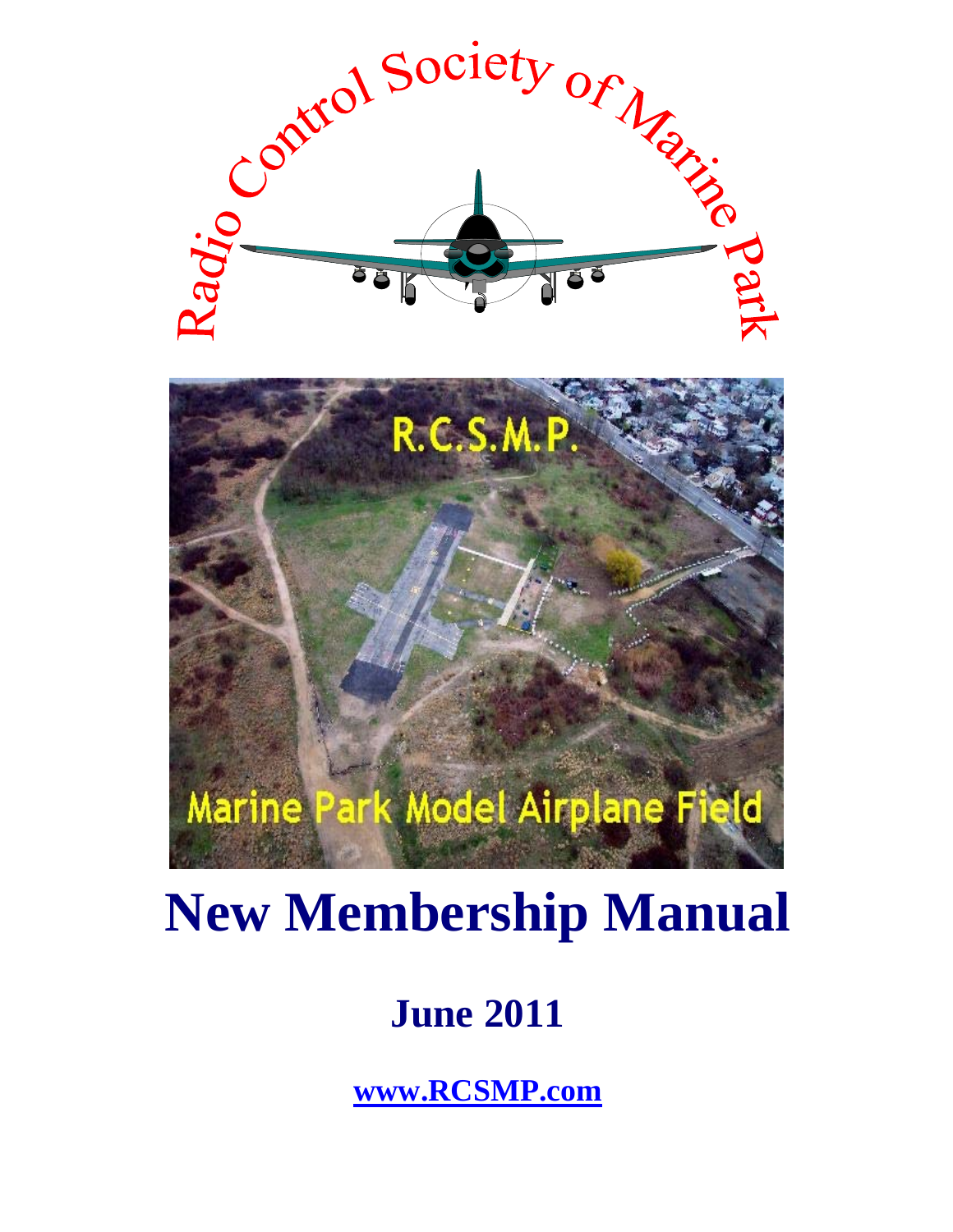

# **New Membership Manual**

## **June 2011**

**www.RCSMP.com**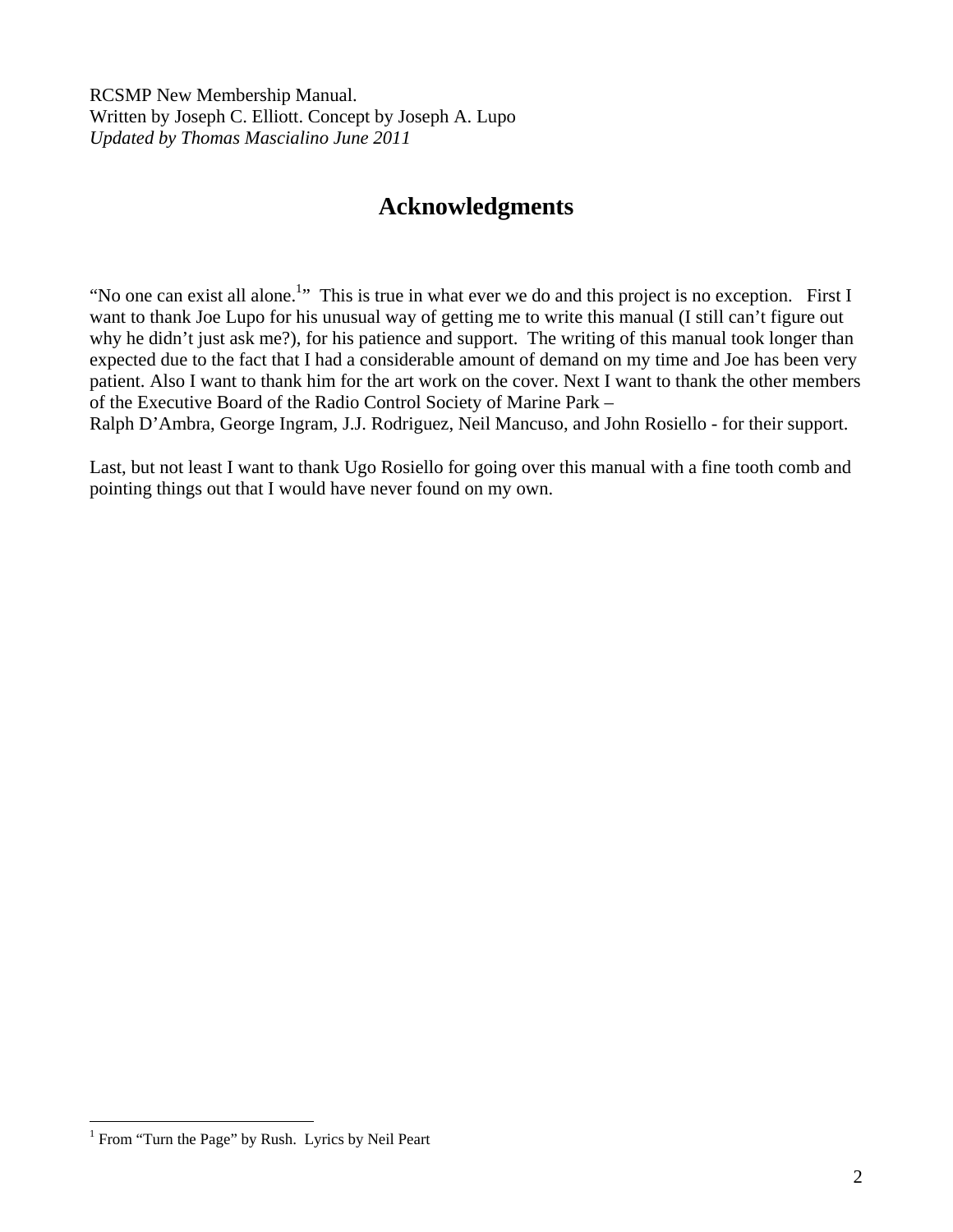RCSMP New Membership Manual. Written by Joseph C. Elliott. Concept by Joseph A. Lupo *Updated by Thomas Mascialino June 2011* 

## **Acknowledgments**

"No one can exist all alone.<sup>1</sup>" This is true in what ever we do and this project is no exception. First I want to thank Joe Lupo for his unusual way of getting me to write this manual (I still can't figure out why he didn't just ask me?), for his patience and support. The writing of this manual took longer than expected due to the fact that I had a considerable amount of demand on my time and Joe has been very patient. Also I want to thank him for the art work on the cover. Next I want to thank the other members of the Executive Board of the Radio Control Society of Marine Park –

Ralph D'Ambra, George Ingram, J.J. Rodriguez, Neil Mancuso, and John Rosiello - for their support.

Last, but not least I want to thank Ugo Rosiello for going over this manual with a fine tooth comb and pointing things out that I would have never found on my own.

 1 From "Turn the Page" by Rush. Lyrics by Neil Peart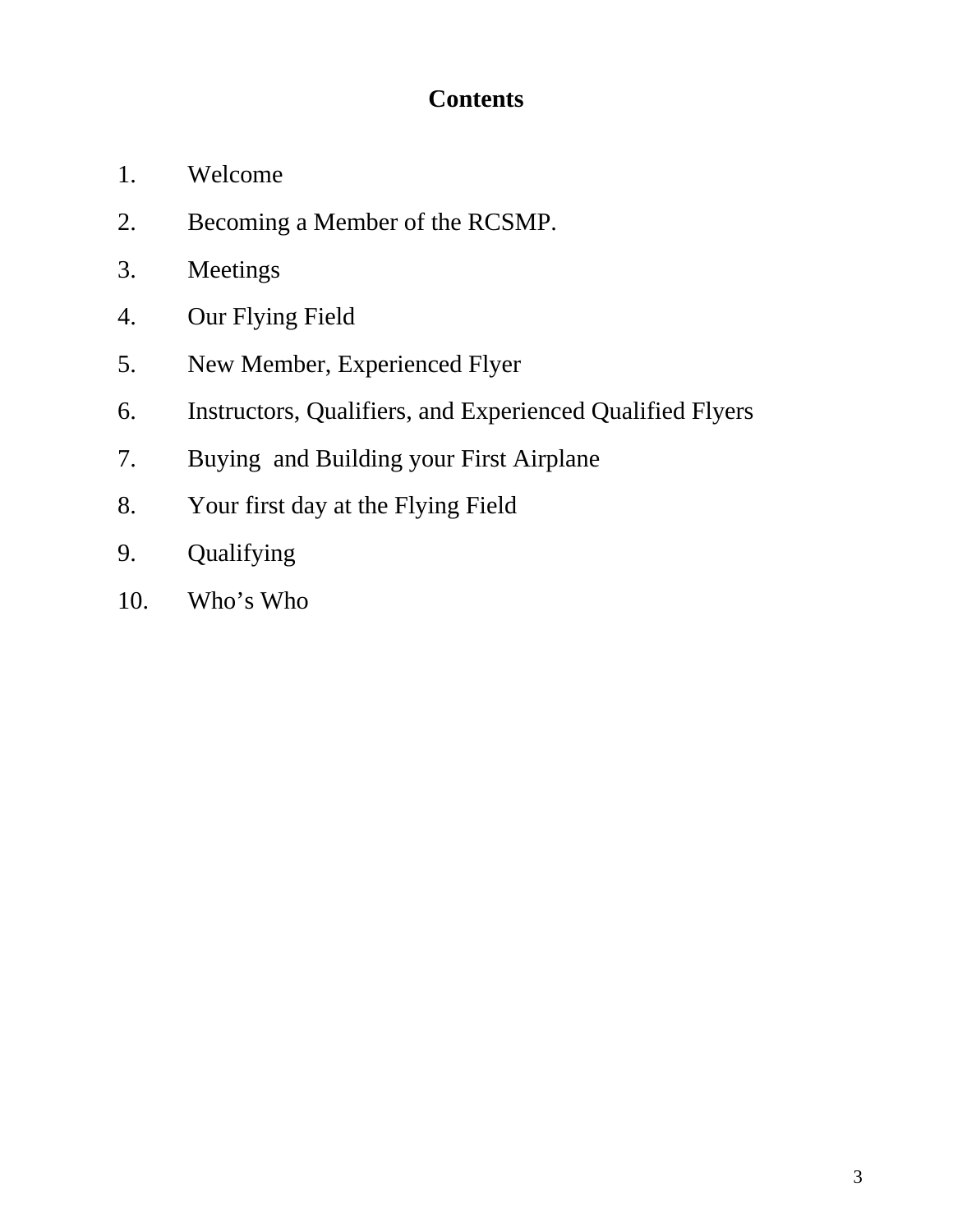## **Contents**

- 1. Welcome
- 2. Becoming a Member of the RCSMP.
- 3. Meetings
- 4. Our Flying Field
- 5. New Member, Experienced Flyer
- 6. Instructors, Qualifiers, and Experienced Qualified Flyers
- 7. Buying and Building your First Airplane
- 8. Your first day at the Flying Field
- 9. Qualifying
- 10. Who's Who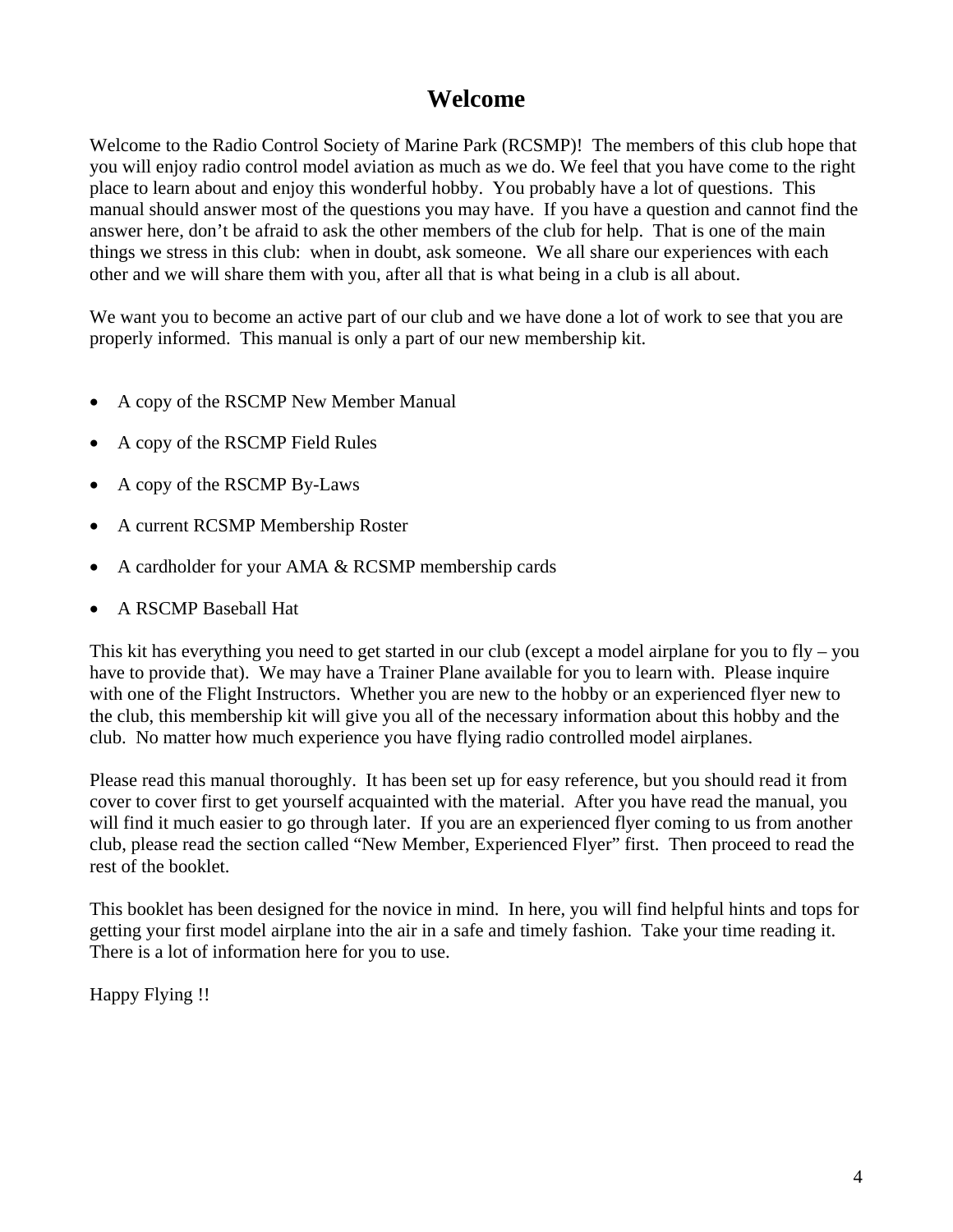#### **Welcome**

Welcome to the Radio Control Society of Marine Park (RCSMP)! The members of this club hope that you will enjoy radio control model aviation as much as we do. We feel that you have come to the right place to learn about and enjoy this wonderful hobby. You probably have a lot of questions. This manual should answer most of the questions you may have. If you have a question and cannot find the answer here, don't be afraid to ask the other members of the club for help. That is one of the main things we stress in this club: when in doubt, ask someone. We all share our experiences with each other and we will share them with you, after all that is what being in a club is all about.

We want you to become an active part of our club and we have done a lot of work to see that you are properly informed. This manual is only a part of our new membership kit.

- A copy of the RSCMP New Member Manual
- A copy of the RSCMP Field Rules
- A copy of the RSCMP By-Laws
- A current RCSMP Membership Roster
- A cardholder for your AMA & RCSMP membership cards
- A RSCMP Baseball Hat

This kit has everything you need to get started in our club (except a model airplane for you to fly – you have to provide that). We may have a Trainer Plane available for you to learn with. Please inquire with one of the Flight Instructors. Whether you are new to the hobby or an experienced flyer new to the club, this membership kit will give you all of the necessary information about this hobby and the club. No matter how much experience you have flying radio controlled model airplanes.

Please read this manual thoroughly. It has been set up for easy reference, but you should read it from cover to cover first to get yourself acquainted with the material. After you have read the manual, you will find it much easier to go through later. If you are an experienced flyer coming to us from another club, please read the section called "New Member, Experienced Flyer" first. Then proceed to read the rest of the booklet.

This booklet has been designed for the novice in mind. In here, you will find helpful hints and tops for getting your first model airplane into the air in a safe and timely fashion. Take your time reading it. There is a lot of information here for you to use.

Happy Flying !!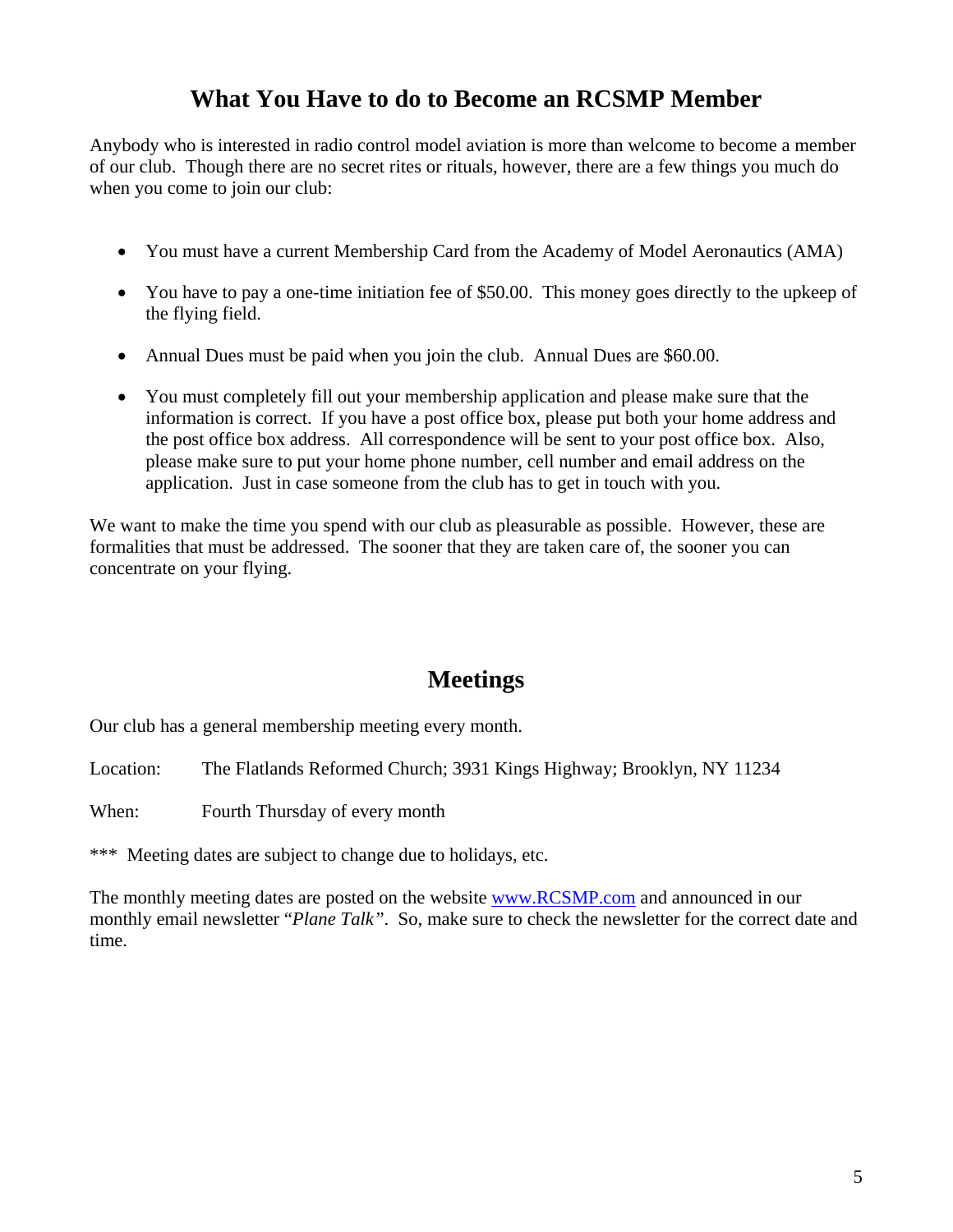## **What You Have to do to Become an RCSMP Member**

Anybody who is interested in radio control model aviation is more than welcome to become a member of our club. Though there are no secret rites or rituals, however, there are a few things you much do when you come to join our club:

- You must have a current Membership Card from the Academy of Model Aeronautics (AMA)
- You have to pay a one-time initiation fee of \$50.00. This money goes directly to the upkeep of the flying field.
- Annual Dues must be paid when you join the club. Annual Dues are \$60.00.
- You must completely fill out your membership application and please make sure that the information is correct. If you have a post office box, please put both your home address and the post office box address. All correspondence will be sent to your post office box. Also, please make sure to put your home phone number, cell number and email address on the application. Just in case someone from the club has to get in touch with you.

We want to make the time you spend with our club as pleasurable as possible. However, these are formalities that must be addressed. The sooner that they are taken care of, the sooner you can concentrate on your flying.

## **Meetings**

Our club has a general membership meeting every month.

Location: The Flatlands Reformed Church; 3931 Kings Highway; Brooklyn, NY 11234

When: Fourth Thursday of every month

\*\*\* Meeting dates are subject to change due to holidays, etc.

The monthly meeting dates are posted on the website www.RCSMP.com and announced in our monthly email newsletter "*Plane Talk"*. So, make sure to check the newsletter for the correct date and time.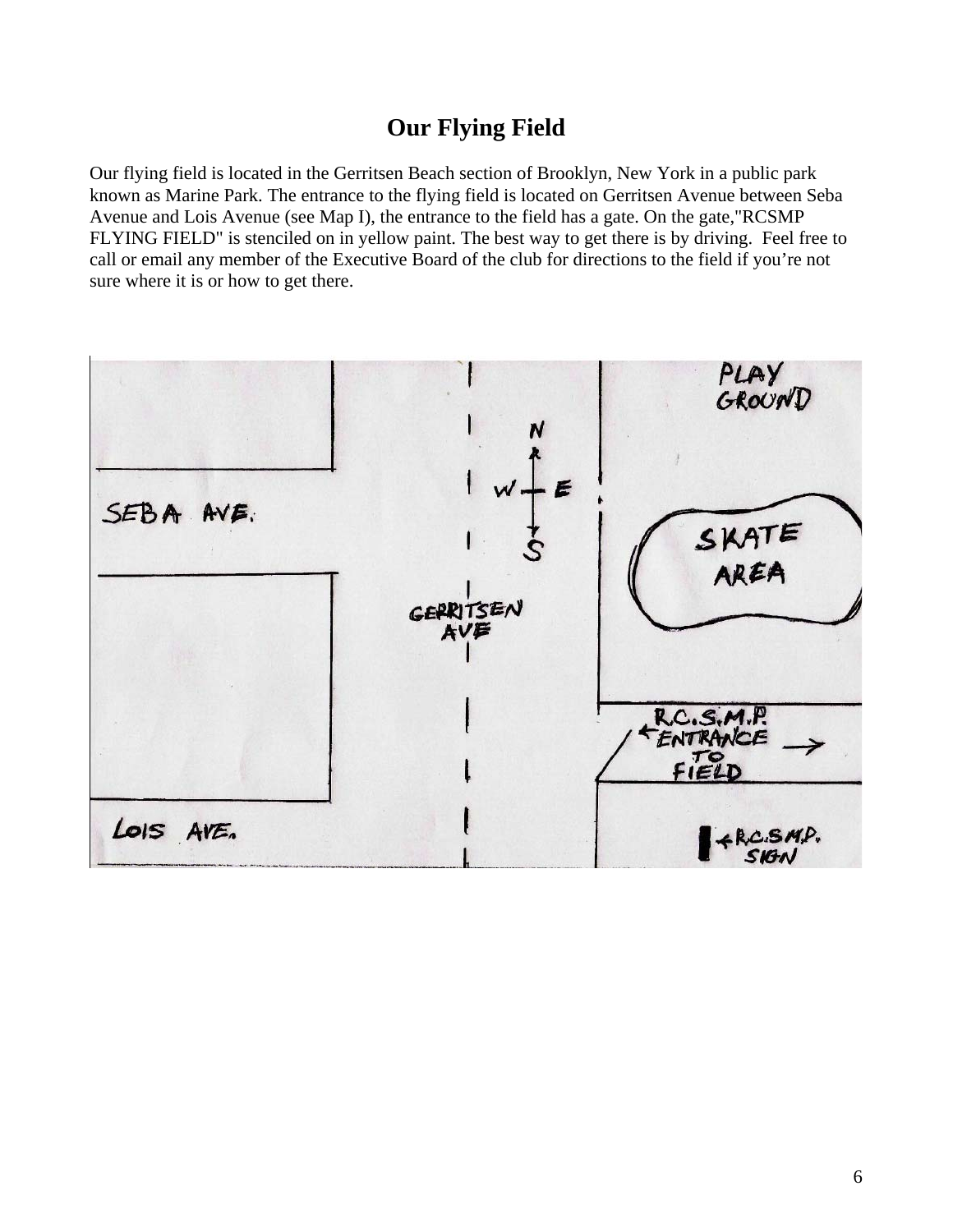## **Our Flying Field**

Our flying field is located in the Gerritsen Beach section of Brooklyn, New York in a public park known as Marine Park. The entrance to the flying field is located on Gerritsen Avenue between Seba Avenue and Lois Avenue (see Map I), the entrance to the field has a gate. On the gate,"RCSMP FLYING FIELD" is stenciled on in yellow paint. The best way to get there is by driving. Feel free to call or email any member of the Executive Board of the club for directions to the field if you're not sure where it is or how to get there.

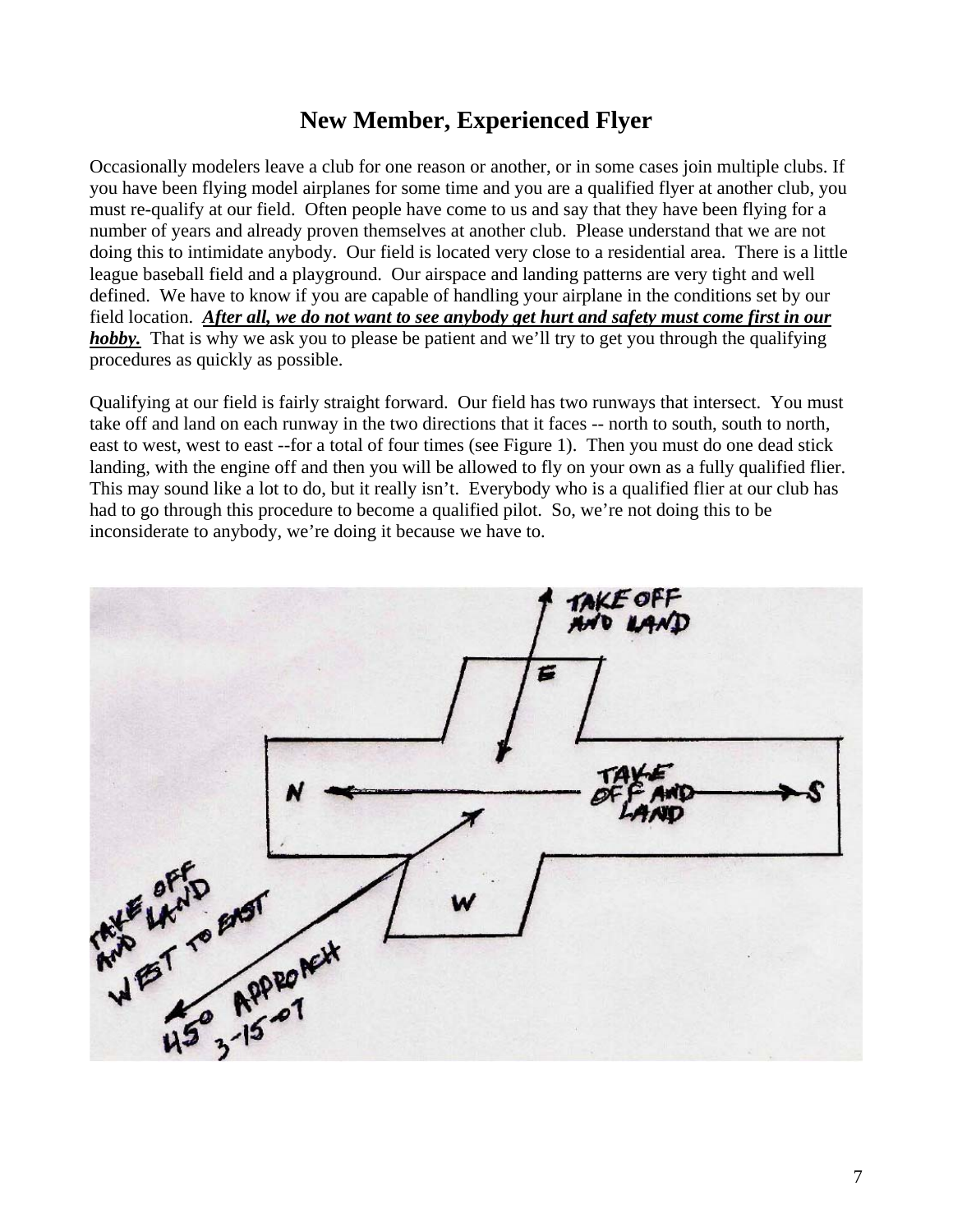## **New Member, Experienced Flyer**

Occasionally modelers leave a club for one reason or another, or in some cases join multiple clubs. If you have been flying model airplanes for some time and you are a qualified flyer at another club, you must re-qualify at our field. Often people have come to us and say that they have been flying for a number of years and already proven themselves at another club. Please understand that we are not doing this to intimidate anybody. Our field is located very close to a residential area. There is a little league baseball field and a playground. Our airspace and landing patterns are very tight and well defined. We have to know if you are capable of handling your airplane in the conditions set by our field location. *After all, we do not want to see anybody get hurt and safety must come first in our hobby*. That is why we ask you to please be patient and we'll try to get you through the qualifying procedures as quickly as possible.

Qualifying at our field is fairly straight forward. Our field has two runways that intersect. You must take off and land on each runway in the two directions that it faces -- north to south, south to north, east to west, west to east --for a total of four times (see Figure 1). Then you must do one dead stick landing, with the engine off and then you will be allowed to fly on your own as a fully qualified flier. This may sound like a lot to do, but it really isn't. Everybody who is a qualified flier at our club has had to go through this procedure to become a qualified pilot. So, we're not doing this to be inconsiderate to anybody, we're doing it because we have to.

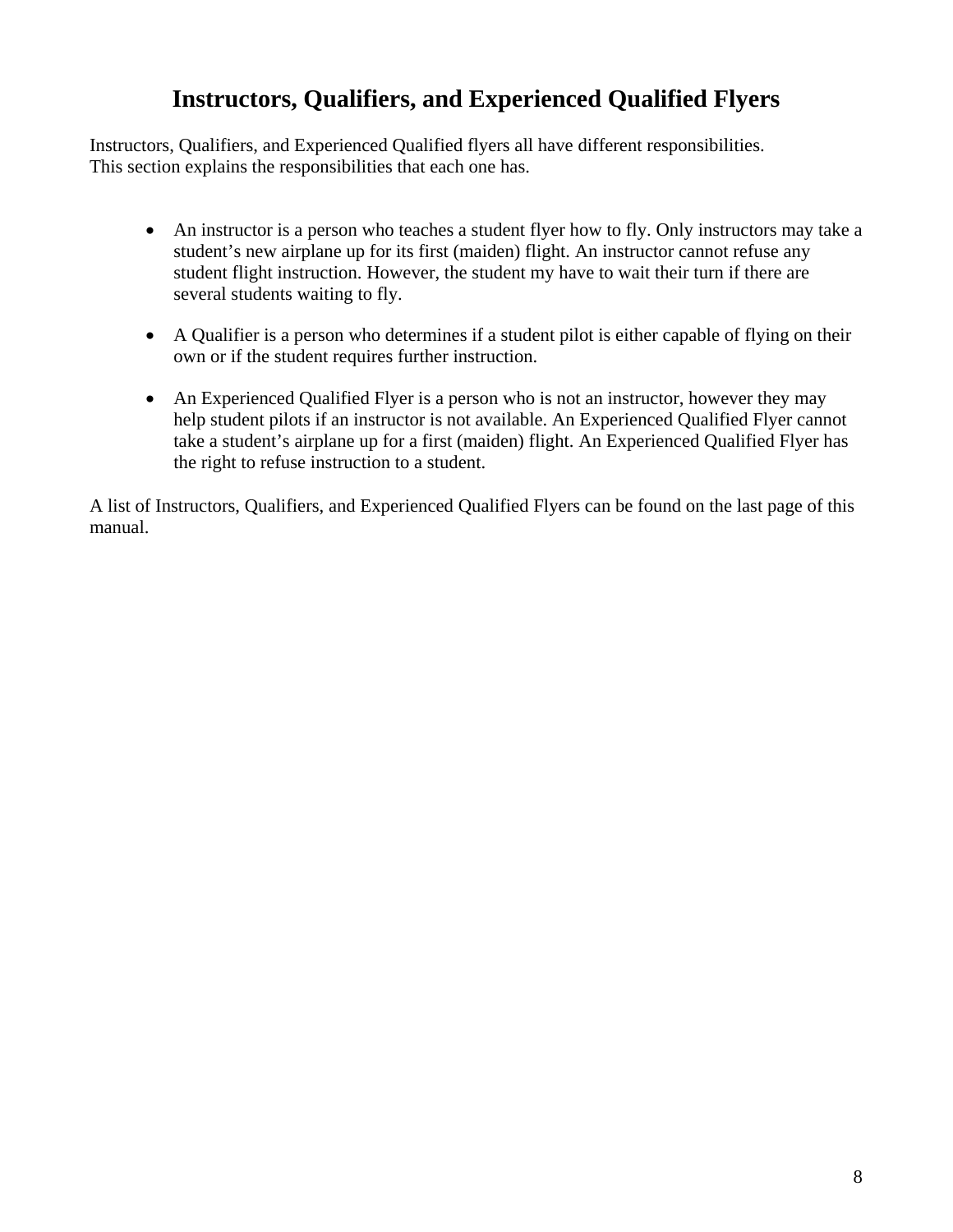## **Instructors, Qualifiers, and Experienced Qualified Flyers**

Instructors, Qualifiers, and Experienced Qualified flyers all have different responsibilities. This section explains the responsibilities that each one has.

- An instructor is a person who teaches a student flyer how to fly. Only instructors may take a student's new airplane up for its first (maiden) flight. An instructor cannot refuse any student flight instruction. However, the student my have to wait their turn if there are several students waiting to fly.
- A Qualifier is a person who determines if a student pilot is either capable of flying on their own or if the student requires further instruction.
- An Experienced Qualified Flyer is a person who is not an instructor, however they may help student pilots if an instructor is not available. An Experienced Qualified Flyer cannot take a student's airplane up for a first (maiden) flight. An Experienced Qualified Flyer has the right to refuse instruction to a student.

A list of Instructors, Qualifiers, and Experienced Qualified Flyers can be found on the last page of this manual.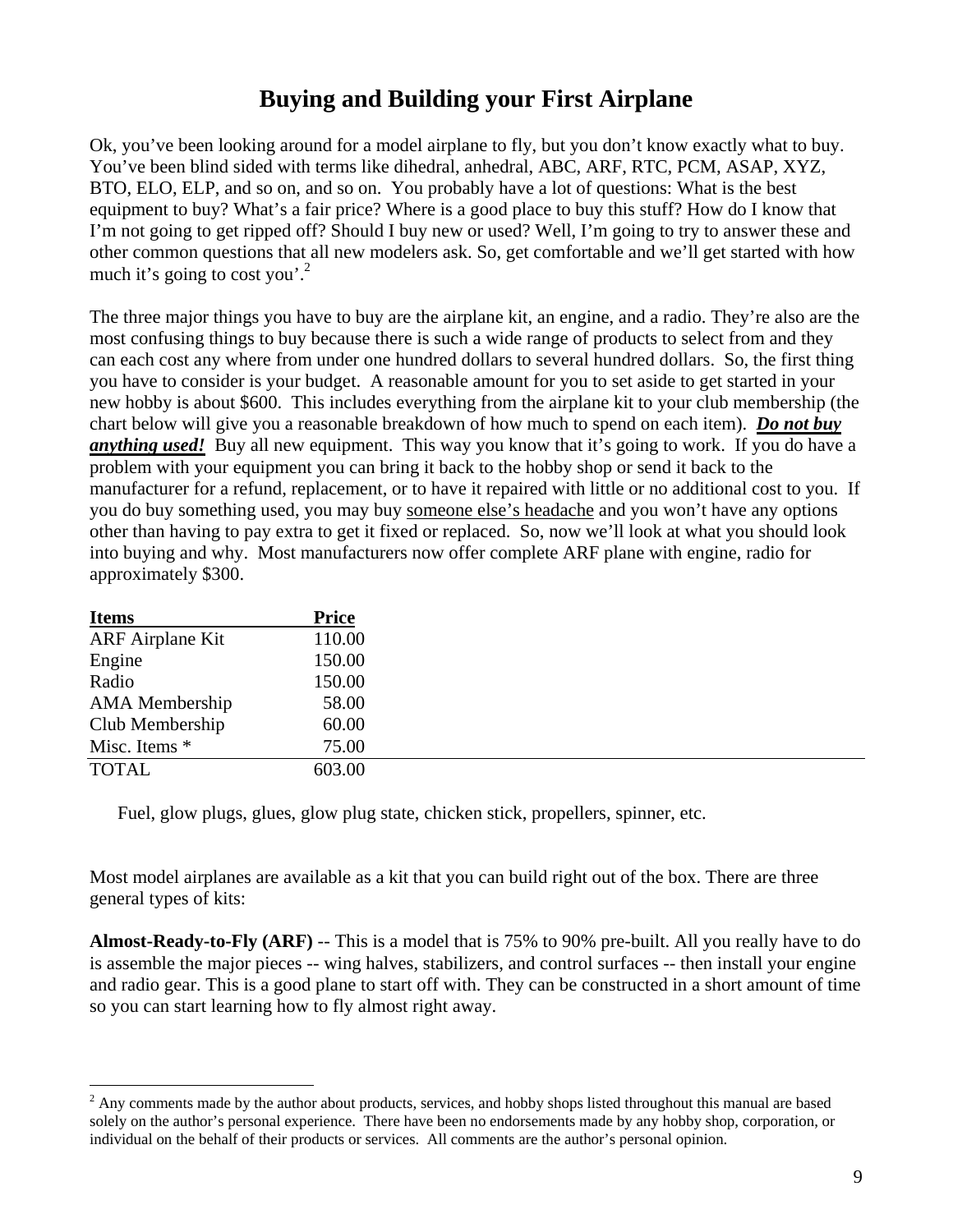## **Buying and Building your First Airplane**

Ok, you've been looking around for a model airplane to fly, but you don't know exactly what to buy. You've been blind sided with terms like dihedral, anhedral, ABC, ARF, RTC, PCM, ASAP, XYZ, BTO, ELO, ELP, and so on, and so on. You probably have a lot of questions: What is the best equipment to buy? What's a fair price? Where is a good place to buy this stuff? How do I know that I'm not going to get ripped off? Should I buy new or used? Well, I'm going to try to answer these and other common questions that all new modelers ask. So, get comfortable and we'll get started with how much it's going to cost you'.<sup>2</sup>

The three major things you have to buy are the airplane kit, an engine, and a radio. They're also are the most confusing things to buy because there is such a wide range of products to select from and they can each cost any where from under one hundred dollars to several hundred dollars. So, the first thing you have to consider is your budget. A reasonable amount for you to set aside to get started in your new hobby is about \$600. This includes everything from the airplane kit to your club membership (the chart below will give you a reasonable breakdown of how much to spend on each item). *Do not buy anything used!* Buy all new equipment. This way you know that it's going to work. If you do have a problem with your equipment you can bring it back to the hobby shop or send it back to the manufacturer for a refund, replacement, or to have it repaired with little or no additional cost to you. If you do buy something used, you may buy someone else's headache and you won't have any options other than having to pay extra to get it fixed or replaced. So, now we'll look at what you should look into buying and why. Most manufacturers now offer complete ARF plane with engine, radio for approximately \$300.

| <b>Items</b>            | <b>Price</b> |
|-------------------------|--------------|
| <b>ARF</b> Airplane Kit | 110.00       |
| Engine                  | 150.00       |
| Radio                   | 150.00       |
| <b>AMA</b> Membership   | 58.00        |
| Club Membership         | 60.00        |
| Misc. Items *           | 75.00        |
| <b>TOTAL</b>            | 603.00       |

 $\overline{a}$ 

Fuel, glow plugs, glues, glow plug state, chicken stick, propellers, spinner, etc.

Most model airplanes are available as a kit that you can build right out of the box. There are three general types of kits:

**Almost-Ready-to-Fly (ARF)** -- This is a model that is 75% to 90% pre-built. All you really have to do is assemble the major pieces -- wing halves, stabilizers, and control surfaces -- then install your engine and radio gear. This is a good plane to start off with. They can be constructed in a short amount of time so you can start learning how to fly almost right away.

 $2^2$  Any comments made by the author about products, services, and hobby shops listed throughout this manual are based solely on the author's personal experience. There have been no endorsements made by any hobby shop, corporation, or individual on the behalf of their products or services. All comments are the author's personal opinion.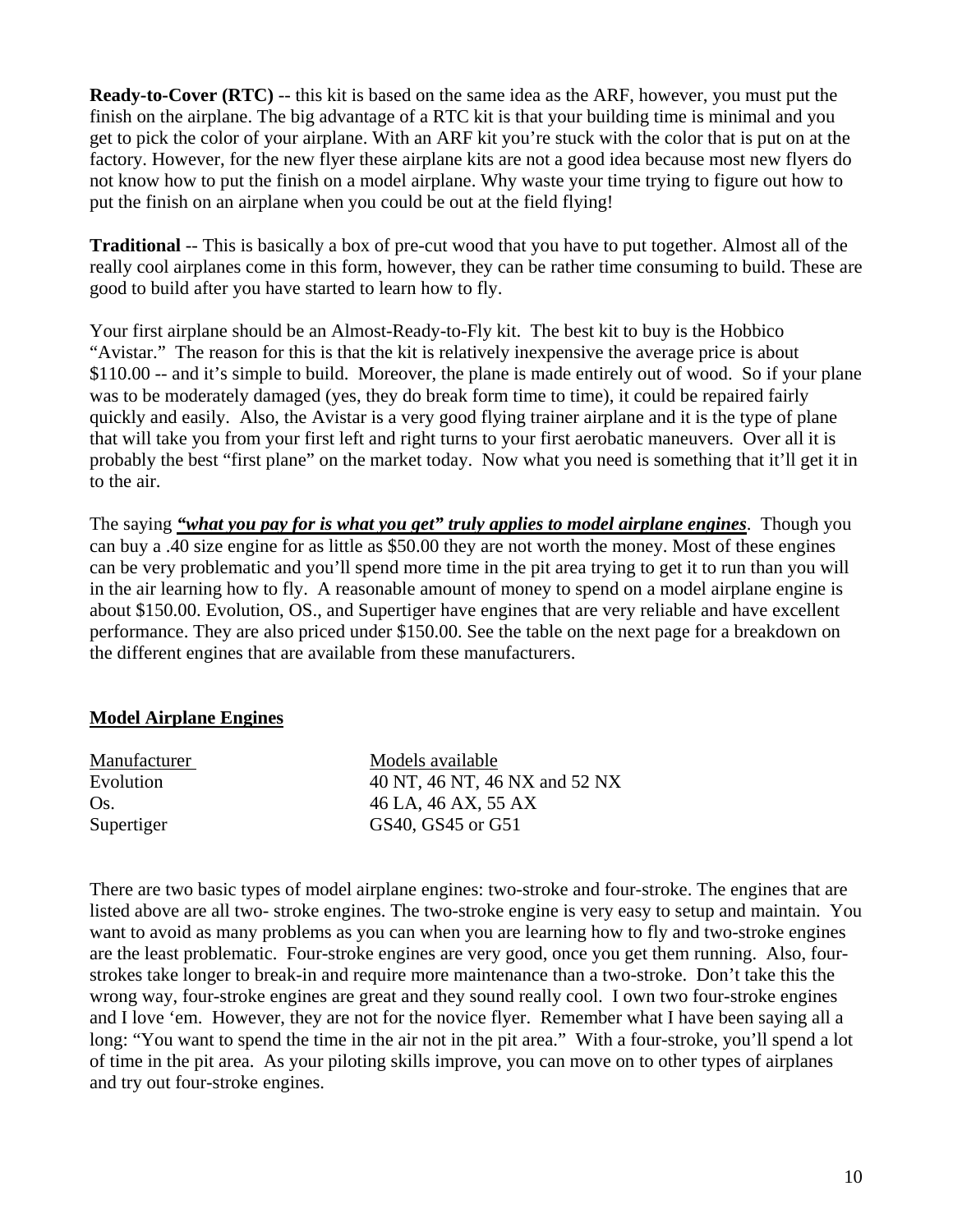**Ready-to-Cover (RTC)** -- this kit is based on the same idea as the ARF, however, you must put the finish on the airplane. The big advantage of a RTC kit is that your building time is minimal and you get to pick the color of your airplane. With an ARF kit you're stuck with the color that is put on at the factory. However, for the new flyer these airplane kits are not a good idea because most new flyers do not know how to put the finish on a model airplane. Why waste your time trying to figure out how to put the finish on an airplane when you could be out at the field flying!

**Traditional** -- This is basically a box of pre-cut wood that you have to put together. Almost all of the really cool airplanes come in this form, however, they can be rather time consuming to build. These are good to build after you have started to learn how to fly.

Your first airplane should be an Almost-Ready-to-Fly kit. The best kit to buy is the Hobbico "Avistar." The reason for this is that the kit is relatively inexpensive the average price is about \$110.00 -- and it's simple to build. Moreover, the plane is made entirely out of wood. So if your plane was to be moderately damaged (yes, they do break form time to time), it could be repaired fairly quickly and easily. Also, the Avistar is a very good flying trainer airplane and it is the type of plane that will take you from your first left and right turns to your first aerobatic maneuvers. Over all it is probably the best "first plane" on the market today. Now what you need is something that it'll get it in to the air.

The saying *"what you pay for is what you get" truly applies to model airplane engines*. Though you can buy a .40 size engine for as little as \$50.00 they are not worth the money. Most of these engines can be very problematic and you'll spend more time in the pit area trying to get it to run than you will in the air learning how to fly. A reasonable amount of money to spend on a model airplane engine is about \$150.00. Evolution, OS., and Supertiger have engines that are very reliable and have excellent performance. They are also priced under \$150.00. See the table on the next page for a breakdown on the different engines that are available from these manufacturers.

#### **Model Airplane Engines**

| Manufacturer | Models available              |
|--------------|-------------------------------|
| Evolution    | 40 NT, 46 NT, 46 NX and 52 NX |
| Os.          | 46 LA, 46 AX, 55 AX           |
| Supertiger   | GS40, GS45 or G51             |

There are two basic types of model airplane engines: two-stroke and four-stroke. The engines that are listed above are all two- stroke engines. The two-stroke engine is very easy to setup and maintain. You want to avoid as many problems as you can when you are learning how to fly and two-stroke engines are the least problematic. Four-stroke engines are very good, once you get them running. Also, fourstrokes take longer to break-in and require more maintenance than a two-stroke. Don't take this the wrong way, four-stroke engines are great and they sound really cool. I own two four-stroke engines and I love 'em. However, they are not for the novice flyer. Remember what I have been saying all a long: "You want to spend the time in the air not in the pit area." With a four-stroke, you'll spend a lot of time in the pit area. As your piloting skills improve, you can move on to other types of airplanes and try out four-stroke engines.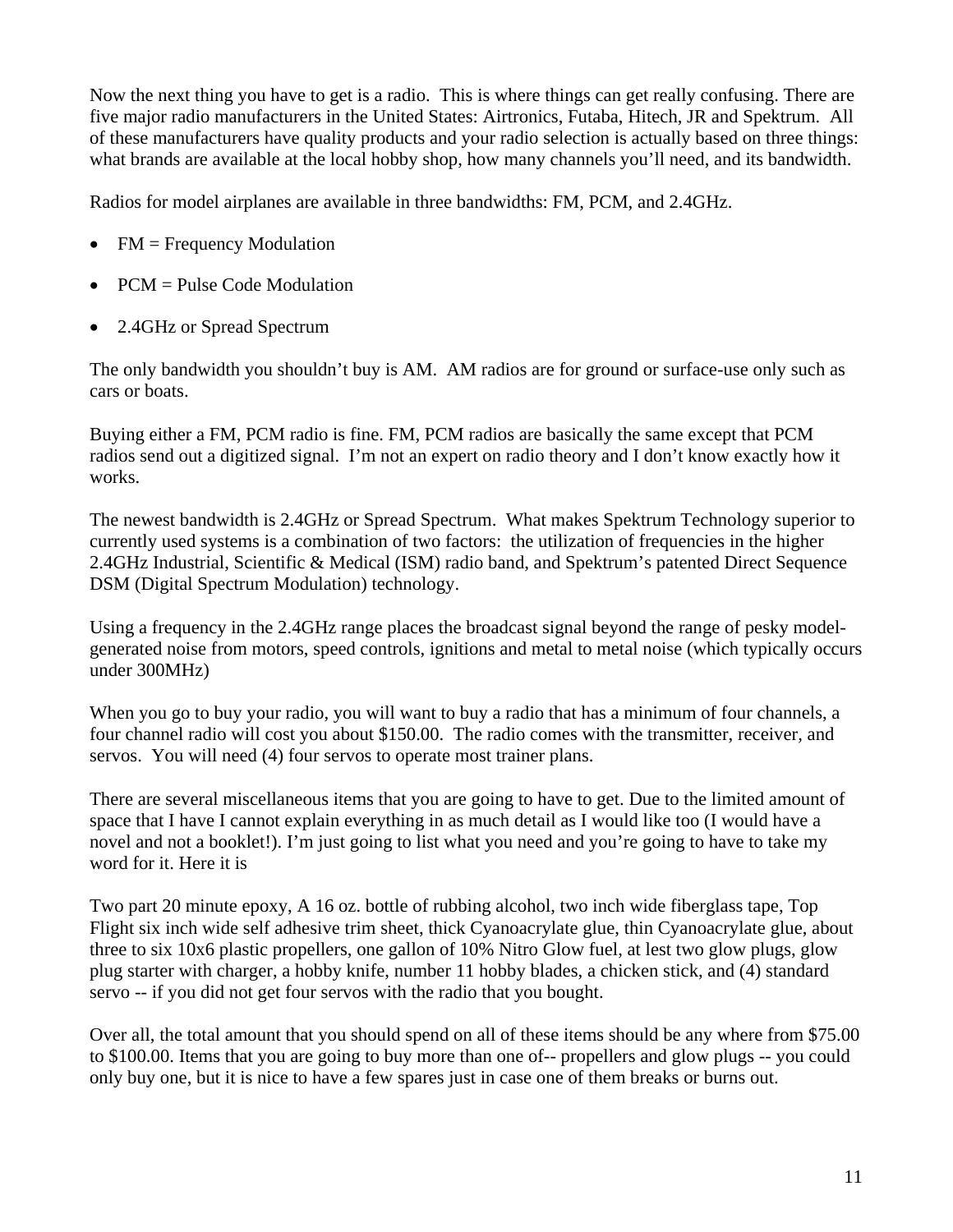Now the next thing you have to get is a radio. This is where things can get really confusing. There are five major radio manufacturers in the United States: Airtronics, Futaba, Hitech, JR and Spektrum. All of these manufacturers have quality products and your radio selection is actually based on three things: what brands are available at the local hobby shop, how many channels you'll need, and its bandwidth.

Radios for model airplanes are available in three bandwidths: FM, PCM, and 2.4GHz.

- $FM = Frequency Modulation$
- PCM = Pulse Code Modulation
- 2.4GHz or Spread Spectrum

The only bandwidth you shouldn't buy is AM. AM radios are for ground or surface-use only such as cars or boats.

Buying either a FM, PCM radio is fine. FM, PCM radios are basically the same except that PCM radios send out a digitized signal. I'm not an expert on radio theory and I don't know exactly how it works.

The newest bandwidth is 2.4GHz or Spread Spectrum. What makes Spektrum Technology superior to currently used systems is a combination of two factors: the utilization of frequencies in the higher 2.4GHz Industrial, Scientific & Medical (ISM) radio band, and Spektrum's patented Direct Sequence DSM (Digital Spectrum Modulation) technology.

Using a frequency in the 2.4GHz range places the broadcast signal beyond the range of pesky modelgenerated noise from motors, speed controls, ignitions and metal to metal noise (which typically occurs under 300MHz)

When you go to buy your radio, you will want to buy a radio that has a minimum of four channels, a four channel radio will cost you about \$150.00. The radio comes with the transmitter, receiver, and servos. You will need (4) four servos to operate most trainer plans.

There are several miscellaneous items that you are going to have to get. Due to the limited amount of space that I have I cannot explain everything in as much detail as I would like too (I would have a novel and not a booklet!). I'm just going to list what you need and you're going to have to take my word for it. Here it is

Two part 20 minute epoxy, A 16 oz. bottle of rubbing alcohol, two inch wide fiberglass tape, Top Flight six inch wide self adhesive trim sheet, thick Cyanoacrylate glue, thin Cyanoacrylate glue, about three to six 10x6 plastic propellers, one gallon of 10% Nitro Glow fuel, at lest two glow plugs, glow plug starter with charger, a hobby knife, number 11 hobby blades, a chicken stick, and (4) standard servo -- if you did not get four servos with the radio that you bought.

Over all, the total amount that you should spend on all of these items should be any where from \$75.00 to \$100.00. Items that you are going to buy more than one of-- propellers and glow plugs -- you could only buy one, but it is nice to have a few spares just in case one of them breaks or burns out.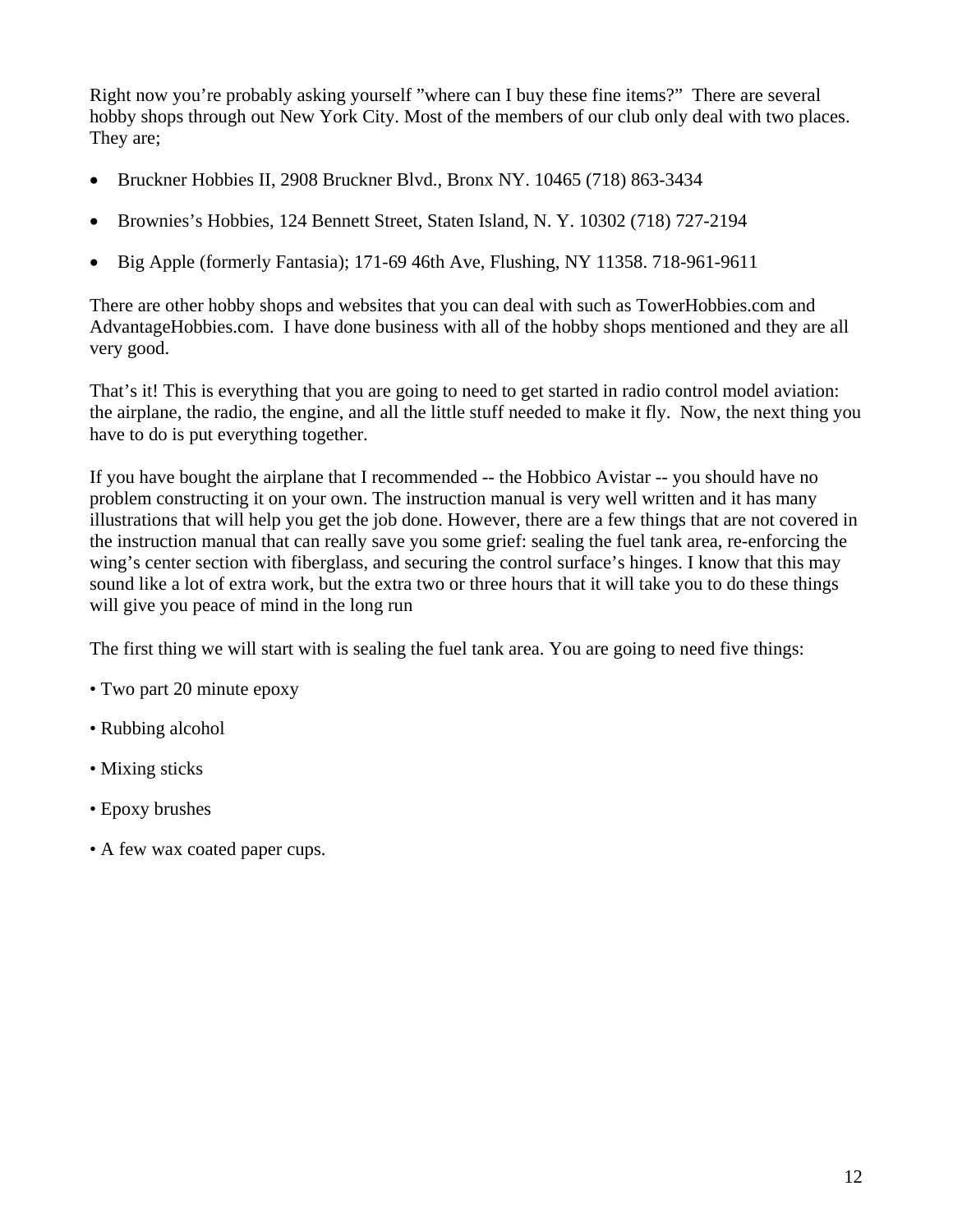Right now you're probably asking yourself "where can I buy these fine items?" There are several hobby shops through out New York City. Most of the members of our club only deal with two places. They are;

- Bruckner Hobbies II, 2908 Bruckner Blvd., Bronx NY. 10465 (718) 863-3434
- Brownies's Hobbies, 124 Bennett Street, Staten Island, N. Y. 10302 (718) 727-2194
- Big Apple (formerly Fantasia); 171-69 46th Ave, Flushing, NY 11358. 718-961-9611

There are other hobby shops and websites that you can deal with such as TowerHobbies.com and AdvantageHobbies.com. I have done business with all of the hobby shops mentioned and they are all very good.

That's it! This is everything that you are going to need to get started in radio control model aviation: the airplane, the radio, the engine, and all the little stuff needed to make it fly. Now, the next thing you have to do is put everything together.

If you have bought the airplane that I recommended -- the Hobbico Avistar -- you should have no problem constructing it on your own. The instruction manual is very well written and it has many illustrations that will help you get the job done. However, there are a few things that are not covered in the instruction manual that can really save you some grief: sealing the fuel tank area, re-enforcing the wing's center section with fiberglass, and securing the control surface's hinges. I know that this may sound like a lot of extra work, but the extra two or three hours that it will take you to do these things will give you peace of mind in the long run

The first thing we will start with is sealing the fuel tank area. You are going to need five things:

- Two part 20 minute epoxy
- Rubbing alcohol
- Mixing sticks
- Epoxy brushes
- A few wax coated paper cups.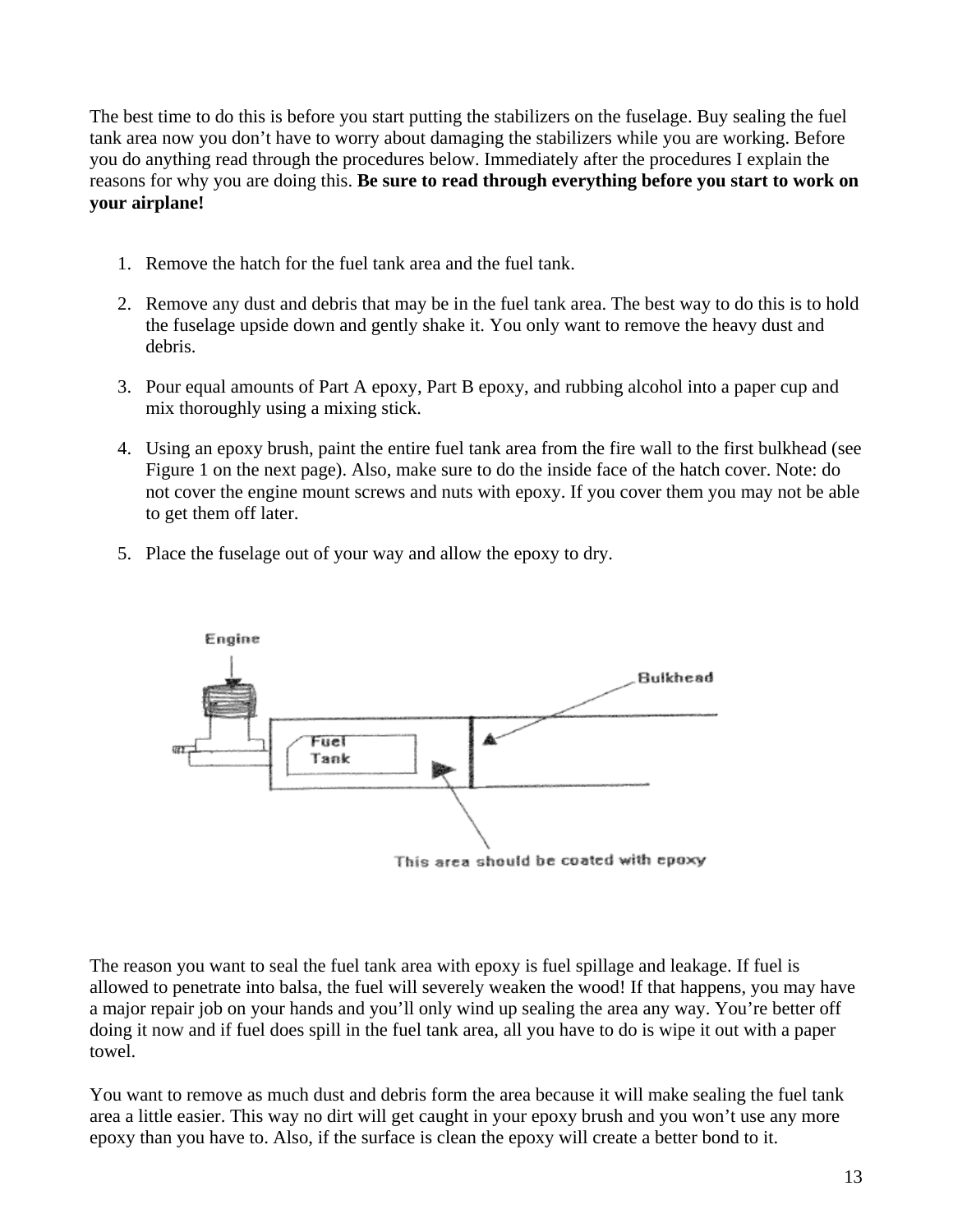The best time to do this is before you start putting the stabilizers on the fuselage. Buy sealing the fuel tank area now you don't have to worry about damaging the stabilizers while you are working. Before you do anything read through the procedures below. Immediately after the procedures I explain the reasons for why you are doing this. **Be sure to read through everything before you start to work on your airplane!** 

- 1. Remove the hatch for the fuel tank area and the fuel tank.
- 2. Remove any dust and debris that may be in the fuel tank area. The best way to do this is to hold the fuselage upside down and gently shake it. You only want to remove the heavy dust and debris.
- 3. Pour equal amounts of Part A epoxy, Part B epoxy, and rubbing alcohol into a paper cup and mix thoroughly using a mixing stick.
- 4. Using an epoxy brush, paint the entire fuel tank area from the fire wall to the first bulkhead (see Figure 1 on the next page). Also, make sure to do the inside face of the hatch cover. Note: do not cover the engine mount screws and nuts with epoxy. If you cover them you may not be able to get them off later.
- 5. Place the fuselage out of your way and allow the epoxy to dry.



The reason you want to seal the fuel tank area with epoxy is fuel spillage and leakage. If fuel is allowed to penetrate into balsa, the fuel will severely weaken the wood! If that happens, you may have a major repair job on your hands and you'll only wind up sealing the area any way. You're better off doing it now and if fuel does spill in the fuel tank area, all you have to do is wipe it out with a paper towel.

You want to remove as much dust and debris form the area because it will make sealing the fuel tank area a little easier. This way no dirt will get caught in your epoxy brush and you won't use any more epoxy than you have to. Also, if the surface is clean the epoxy will create a better bond to it.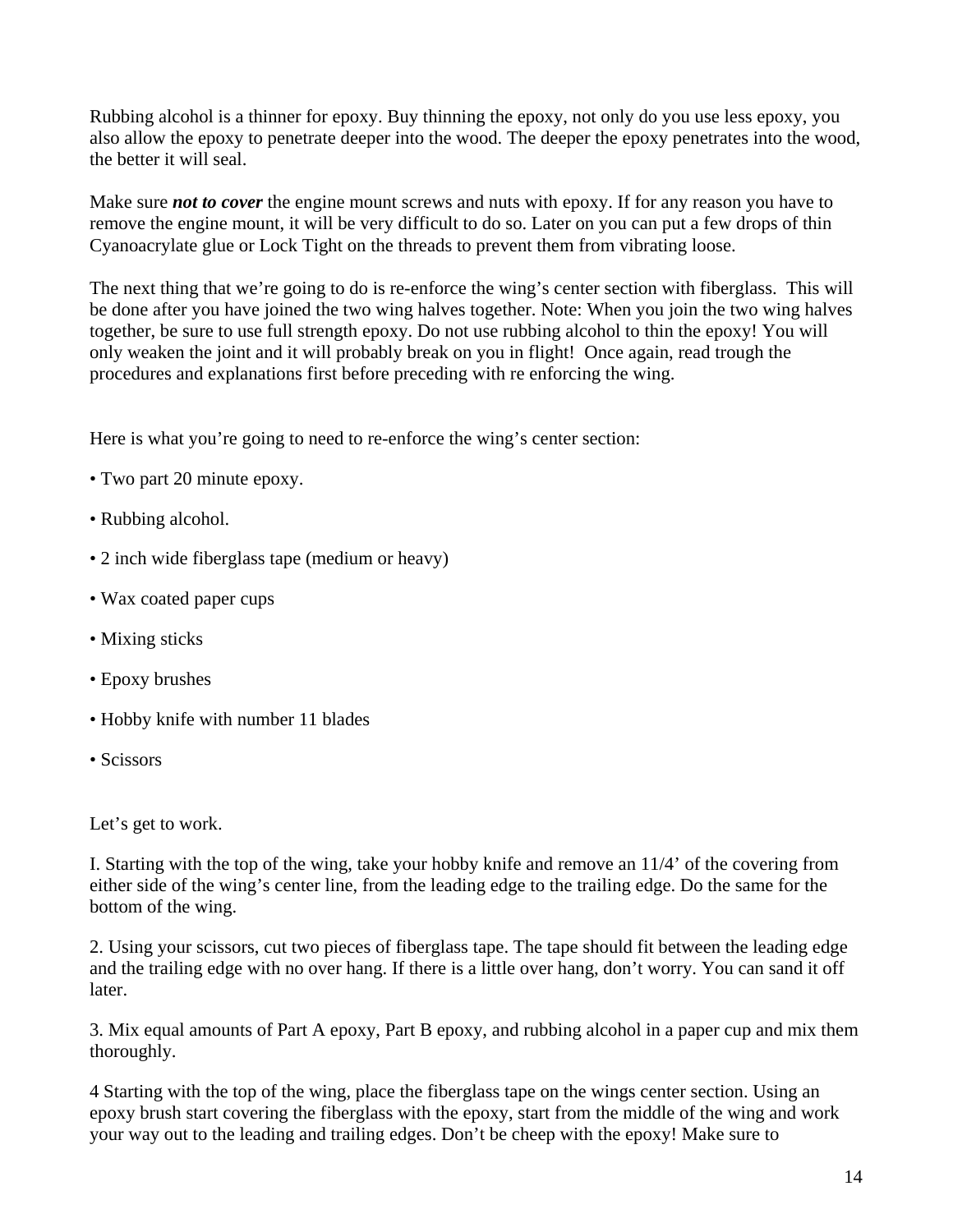Rubbing alcohol is a thinner for epoxy. Buy thinning the epoxy, not only do you use less epoxy, you also allow the epoxy to penetrate deeper into the wood. The deeper the epoxy penetrates into the wood, the better it will seal.

Make sure *not to cover* the engine mount screws and nuts with epoxy. If for any reason you have to remove the engine mount, it will be very difficult to do so. Later on you can put a few drops of thin Cyanoacrylate glue or Lock Tight on the threads to prevent them from vibrating loose.

The next thing that we're going to do is re-enforce the wing's center section with fiberglass. This will be done after you have joined the two wing halves together. Note: When you join the two wing halves together, be sure to use full strength epoxy. Do not use rubbing alcohol to thin the epoxy! You will only weaken the joint and it will probably break on you in flight! Once again, read trough the procedures and explanations first before preceding with re enforcing the wing.

Here is what you're going to need to re-enforce the wing's center section:

- Two part 20 minute epoxy.
- Rubbing alcohol.
- 2 inch wide fiberglass tape (medium or heavy)
- Wax coated paper cups
- Mixing sticks
- Epoxy brushes
- Hobby knife with number 11 blades
- Scissors

Let's get to work.

I. Starting with the top of the wing, take your hobby knife and remove an 11/4' of the covering from either side of the wing's center line, from the leading edge to the trailing edge. Do the same for the bottom of the wing.

2. Using your scissors, cut two pieces of fiberglass tape. The tape should fit between the leading edge and the trailing edge with no over hang. If there is a little over hang, don't worry. You can sand it off later.

3. Mix equal amounts of Part A epoxy, Part B epoxy, and rubbing alcohol in a paper cup and mix them thoroughly.

4 Starting with the top of the wing, place the fiberglass tape on the wings center section. Using an epoxy brush start covering the fiberglass with the epoxy, start from the middle of the wing and work your way out to the leading and trailing edges. Don't be cheep with the epoxy! Make sure to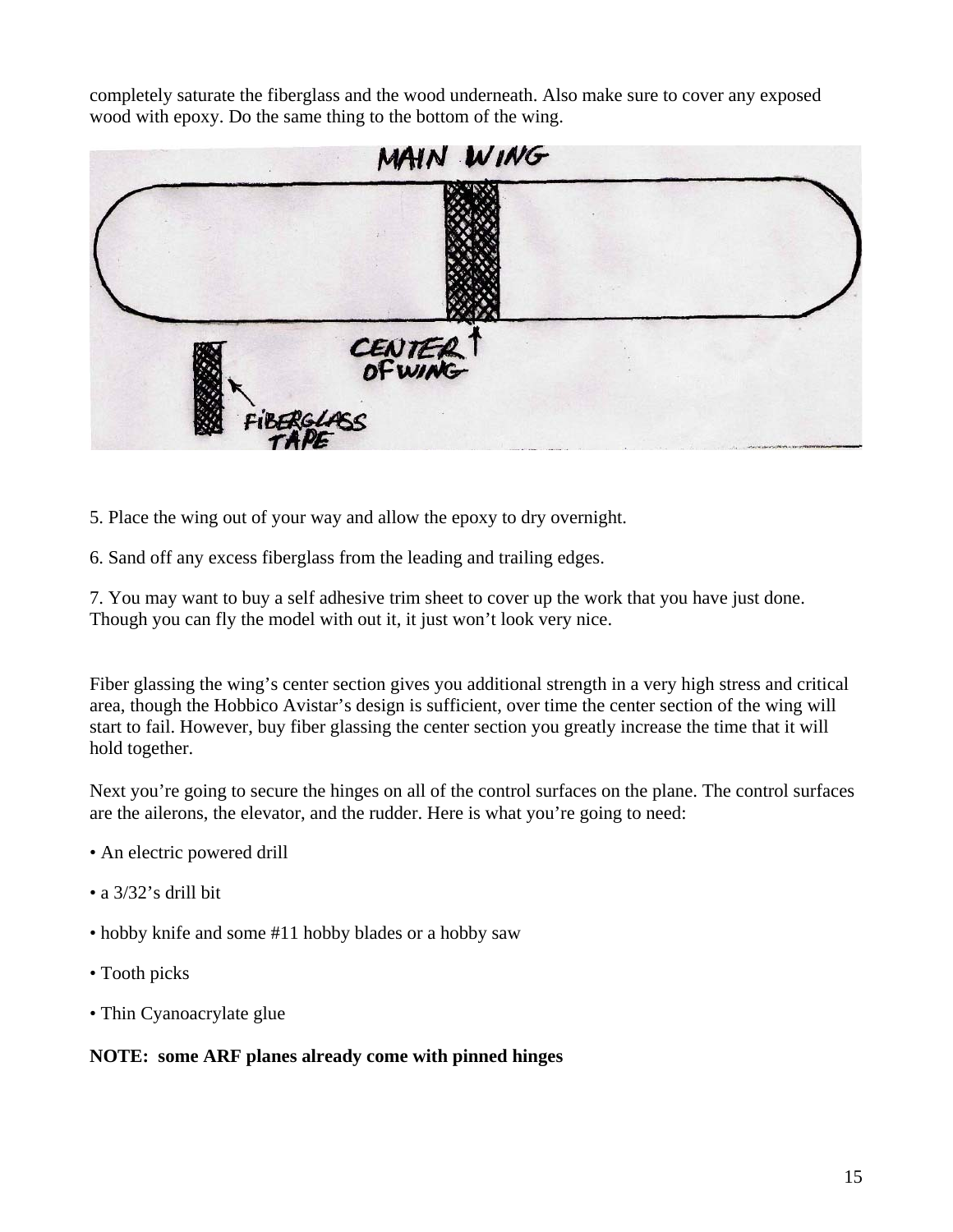completely saturate the fiberglass and the wood underneath. Also make sure to cover any exposed wood with epoxy. Do the same thing to the bottom of the wing.



- 5. Place the wing out of your way and allow the epoxy to dry overnight.
- 6. Sand off any excess fiberglass from the leading and trailing edges.

7. You may want to buy a self adhesive trim sheet to cover up the work that you have just done. Though you can fly the model with out it, it just won't look very nice.

Fiber glassing the wing's center section gives you additional strength in a very high stress and critical area, though the Hobbico Avistar's design is sufficient, over time the center section of the wing will start to fail. However, buy fiber glassing the center section you greatly increase the time that it will hold together.

Next you're going to secure the hinges on all of the control surfaces on the plane. The control surfaces are the ailerons, the elevator, and the rudder. Here is what you're going to need:

- An electric powered drill
- a 3/32's drill bit
- hobby knife and some #11 hobby blades or a hobby saw
- Tooth picks
- Thin Cyanoacrylate glue

#### **NOTE: some ARF planes already come with pinned hinges**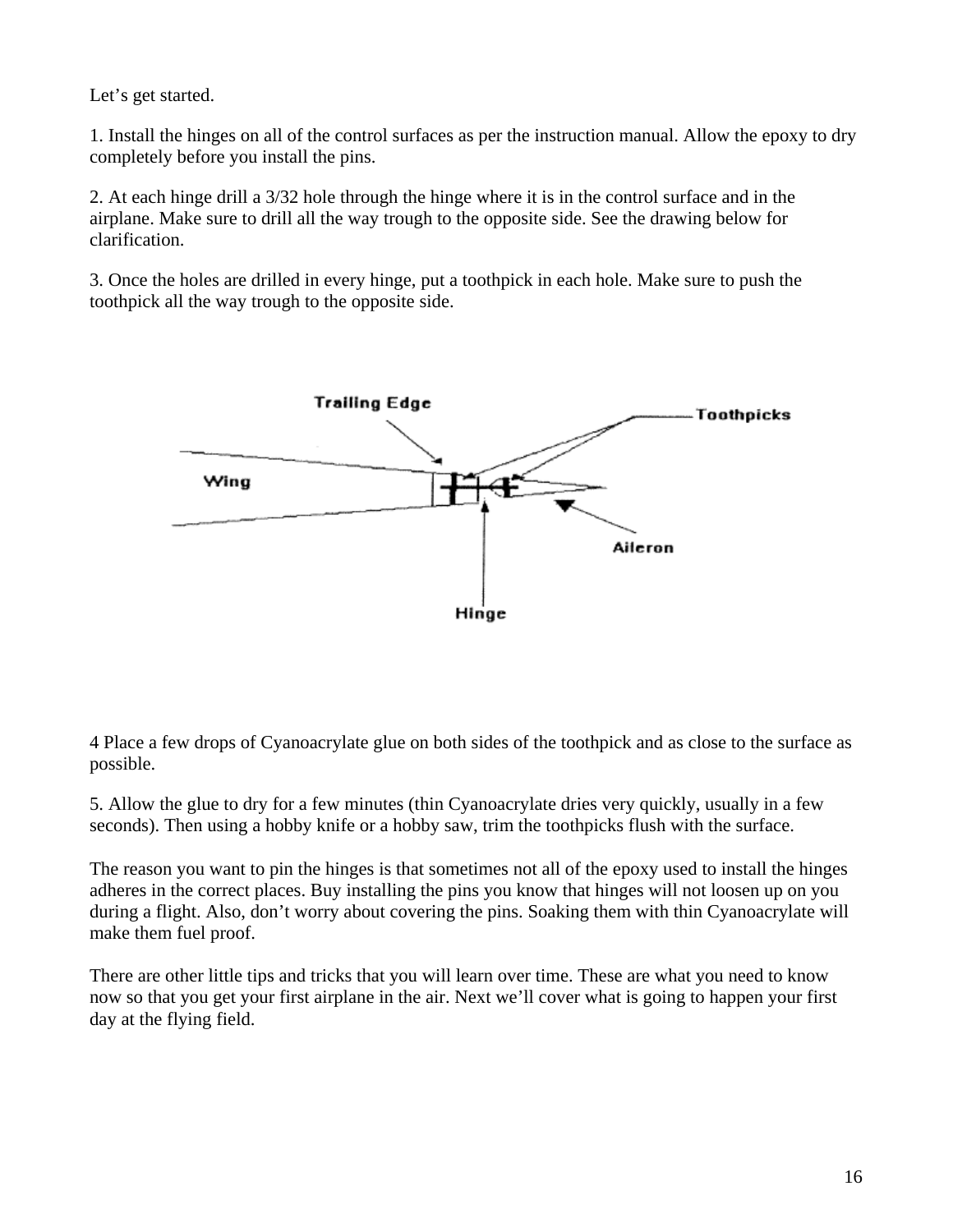Let's get started.

1. Install the hinges on all of the control surfaces as per the instruction manual. Allow the epoxy to dry completely before you install the pins.

2. At each hinge drill a 3/32 hole through the hinge where it is in the control surface and in the airplane. Make sure to drill all the way trough to the opposite side. See the drawing below for clarification.

3. Once the holes are drilled in every hinge, put a toothpick in each hole. Make sure to push the toothpick all the way trough to the opposite side.



4 Place a few drops of Cyanoacrylate glue on both sides of the toothpick and as close to the surface as possible.

5. Allow the glue to dry for a few minutes (thin Cyanoacrylate dries very quickly, usually in a few seconds). Then using a hobby knife or a hobby saw, trim the toothpicks flush with the surface.

The reason you want to pin the hinges is that sometimes not all of the epoxy used to install the hinges adheres in the correct places. Buy installing the pins you know that hinges will not loosen up on you during a flight. Also, don't worry about covering the pins. Soaking them with thin Cyanoacrylate will make them fuel proof.

There are other little tips and tricks that you will learn over time. These are what you need to know now so that you get your first airplane in the air. Next we'll cover what is going to happen your first day at the flying field.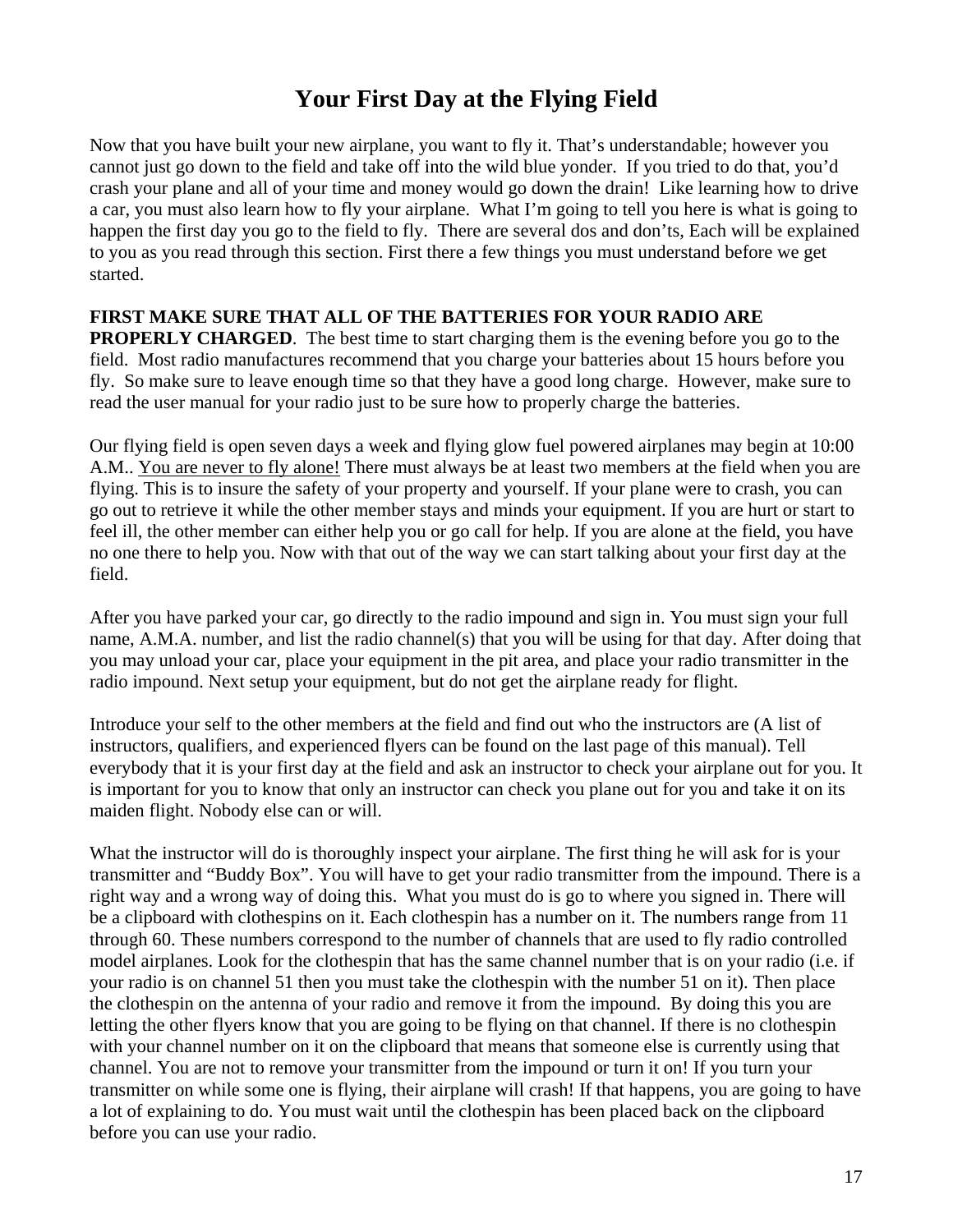## **Your First Day at the Flying Field**

Now that you have built your new airplane, you want to fly it. That's understandable; however you cannot just go down to the field and take off into the wild blue yonder. If you tried to do that, you'd crash your plane and all of your time and money would go down the drain! Like learning how to drive a car, you must also learn how to fly your airplane. What I'm going to tell you here is what is going to happen the first day you go to the field to fly. There are several dos and don'ts, Each will be explained to you as you read through this section. First there a few things you must understand before we get started.

#### **FIRST MAKE SURE THAT ALL OF THE BATTERIES FOR YOUR RADIO ARE**

**PROPERLY CHARGED**. The best time to start charging them is the evening before you go to the field. Most radio manufactures recommend that you charge your batteries about 15 hours before you fly. So make sure to leave enough time so that they have a good long charge. However, make sure to read the user manual for your radio just to be sure how to properly charge the batteries.

Our flying field is open seven days a week and flying glow fuel powered airplanes may begin at 10:00 A.M.. You are never to fly alone! There must always be at least two members at the field when you are flying. This is to insure the safety of your property and yourself. If your plane were to crash, you can go out to retrieve it while the other member stays and minds your equipment. If you are hurt or start to feel ill, the other member can either help you or go call for help. If you are alone at the field, you have no one there to help you. Now with that out of the way we can start talking about your first day at the field.

After you have parked your car, go directly to the radio impound and sign in. You must sign your full name, A.M.A. number, and list the radio channel(s) that you will be using for that day. After doing that you may unload your car, place your equipment in the pit area, and place your radio transmitter in the radio impound. Next setup your equipment, but do not get the airplane ready for flight.

Introduce your self to the other members at the field and find out who the instructors are (A list of instructors, qualifiers, and experienced flyers can be found on the last page of this manual). Tell everybody that it is your first day at the field and ask an instructor to check your airplane out for you. It is important for you to know that only an instructor can check you plane out for you and take it on its maiden flight. Nobody else can or will.

What the instructor will do is thoroughly inspect your airplane. The first thing he will ask for is your transmitter and "Buddy Box". You will have to get your radio transmitter from the impound. There is a right way and a wrong way of doing this. What you must do is go to where you signed in. There will be a clipboard with clothespins on it. Each clothespin has a number on it. The numbers range from 11 through 60. These numbers correspond to the number of channels that are used to fly radio controlled model airplanes. Look for the clothespin that has the same channel number that is on your radio (i.e. if your radio is on channel 51 then you must take the clothespin with the number 51 on it). Then place the clothespin on the antenna of your radio and remove it from the impound. By doing this you are letting the other flyers know that you are going to be flying on that channel. If there is no clothespin with your channel number on it on the clipboard that means that someone else is currently using that channel. You are not to remove your transmitter from the impound or turn it on! If you turn your transmitter on while some one is flying, their airplane will crash! If that happens, you are going to have a lot of explaining to do. You must wait until the clothespin has been placed back on the clipboard before you can use your radio.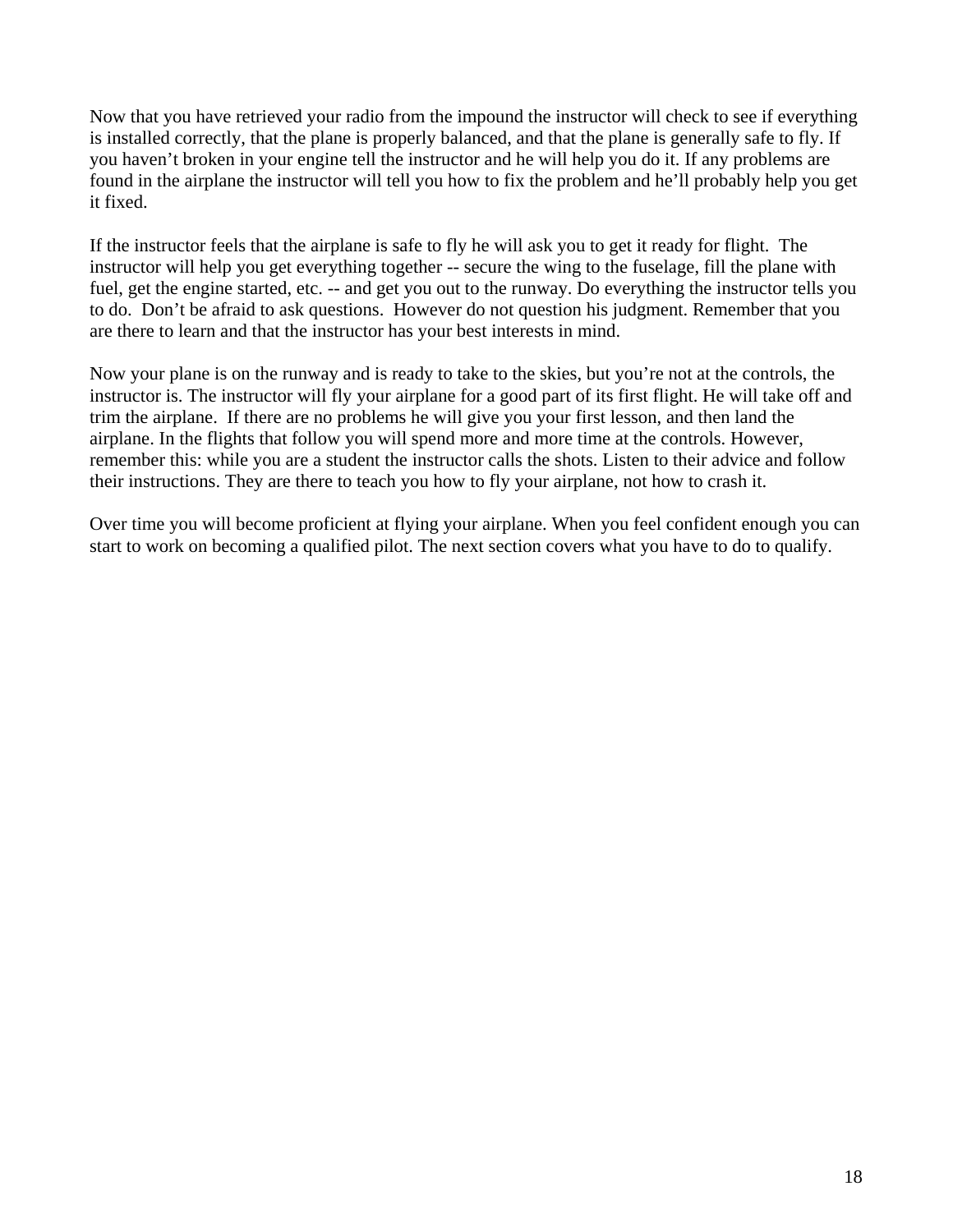Now that you have retrieved your radio from the impound the instructor will check to see if everything is installed correctly, that the plane is properly balanced, and that the plane is generally safe to fly. If you haven't broken in your engine tell the instructor and he will help you do it. If any problems are found in the airplane the instructor will tell you how to fix the problem and he'll probably help you get it fixed.

If the instructor feels that the airplane is safe to fly he will ask you to get it ready for flight. The instructor will help you get everything together -- secure the wing to the fuselage, fill the plane with fuel, get the engine started, etc. -- and get you out to the runway. Do everything the instructor tells you to do. Don't be afraid to ask questions. However do not question his judgment. Remember that you are there to learn and that the instructor has your best interests in mind.

Now your plane is on the runway and is ready to take to the skies, but you're not at the controls, the instructor is. The instructor will fly your airplane for a good part of its first flight. He will take off and trim the airplane. If there are no problems he will give you your first lesson, and then land the airplane. In the flights that follow you will spend more and more time at the controls. However, remember this: while you are a student the instructor calls the shots. Listen to their advice and follow their instructions. They are there to teach you how to fly your airplane, not how to crash it.

Over time you will become proficient at flying your airplane. When you feel confident enough you can start to work on becoming a qualified pilot. The next section covers what you have to do to qualify.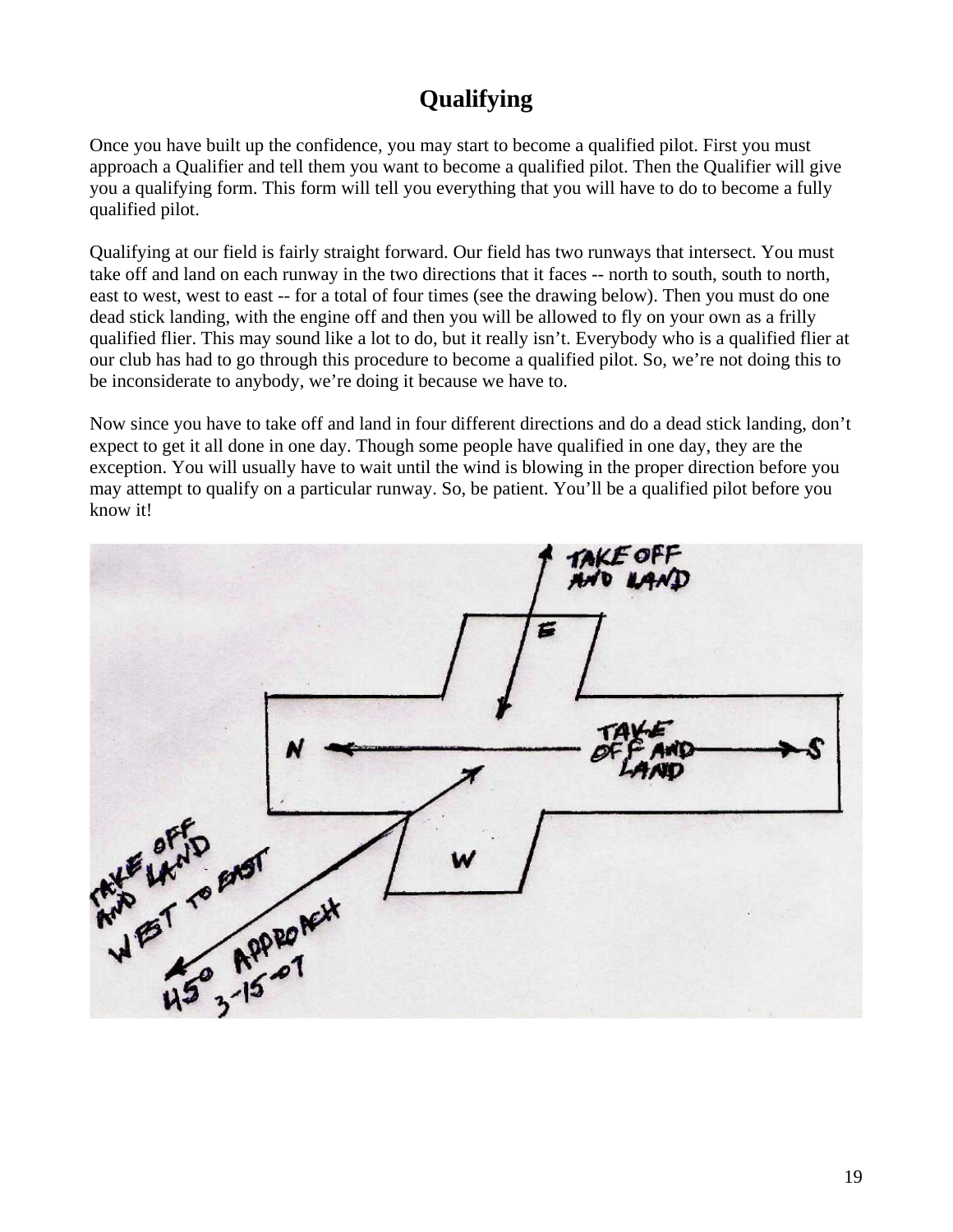## **Qualifying**

Once you have built up the confidence, you may start to become a qualified pilot. First you must approach a Qualifier and tell them you want to become a qualified pilot. Then the Qualifier will give you a qualifying form. This form will tell you everything that you will have to do to become a fully qualified pilot.

Qualifying at our field is fairly straight forward. Our field has two runways that intersect. You must take off and land on each runway in the two directions that it faces -- north to south, south to north, east to west, west to east -- for a total of four times (see the drawing below). Then you must do one dead stick landing, with the engine off and then you will be allowed to fly on your own as a frilly qualified flier. This may sound like a lot to do, but it really isn't. Everybody who is a qualified flier at our club has had to go through this procedure to become a qualified pilot. So, we're not doing this to be inconsiderate to anybody, we're doing it because we have to.

Now since you have to take off and land in four different directions and do a dead stick landing, don't expect to get it all done in one day. Though some people have qualified in one day, they are the exception. You will usually have to wait until the wind is blowing in the proper direction before you may attempt to qualify on a particular runway. So, be patient. You'll be a qualified pilot before you know it!